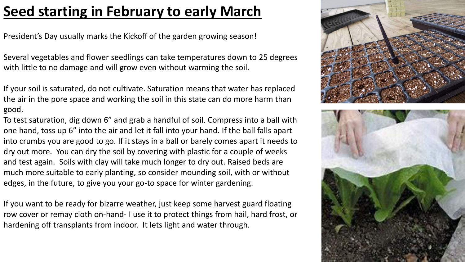# **Seed starting in February to early March**

President's Day usually marks the Kickoff of the garden growing season!

Several vegetables and flower seedlings can take temperatures down to 25 degrees with little to no damage and will grow even without warming the soil.

If your soil is saturated, do not cultivate. Saturation means that water has replaced the air in the pore space and working the soil in this state can do more harm than good.

To test saturation, dig down 6" and grab a handful of soil. Compress into a ball with one hand, toss up 6" into the air and let it fall into your hand. If the ball falls apart into crumbs you are good to go. If it stays in a ball or barely comes apart it needs to dry out more. You can dry the soil by covering with plastic for a couple of weeks and test again. Soils with clay will take much longer to dry out. Raised beds are much more suitable to early planting, so consider mounding soil, with or without edges, in the future, to give you your go-to space for winter gardening.

If you want to be ready for bizarre weather, just keep some harvest guard floating row cover or remay cloth on-hand- I use it to protect things from hail, hard frost, or hardening off transplants from indoor. It lets light and water through.



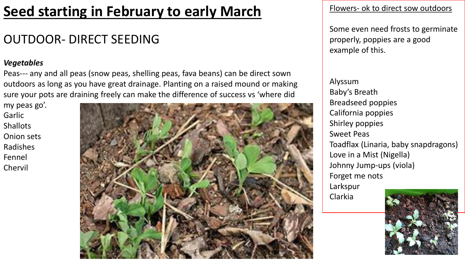# **Seed starting in February to early March**

## OUTDOOR- DIRECT SEEDING

#### *Vegetables*

Peas--- any and all peas (snow peas, shelling peas, fava beans) can be direct sown outdoors as long as you have great drainage. Planting on a raised mound or making sure your pots are draining freely can make the difference of success vs 'where did

my peas go'. Garlic **Shallots** Onion sets Radishes Fennel Chervil



#### Flowers- ok to direct sow outdoors

Some even need frosts to germinate properly, poppies are a good example of this.

Alyssum Baby's Breath Breadseed poppies California poppies Shirley poppies Sweet Peas Toadflax (Linaria, baby snapdragons) Love in a Mist (Nigella) Johnny Jump-ups (viola) Forget me nots Larkspur

Clarkia

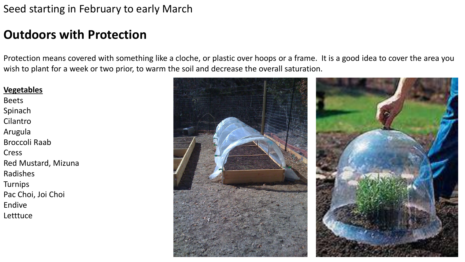## **Outdoors with Protection**

Protection means covered with something like a cloche, or plastic over hoops or a frame. It is a good idea to cover the area you wish to plant for a week or two prior, to warm the soil and decrease the overall saturation.

#### **Vegetables**

Spinach Cilantro Arugula Broccoli Raab Cress

Beets

Red Mustard, Mizuna

Radishes

Turnips

Pac Choi, Joi Choi

Endive

Letttuce

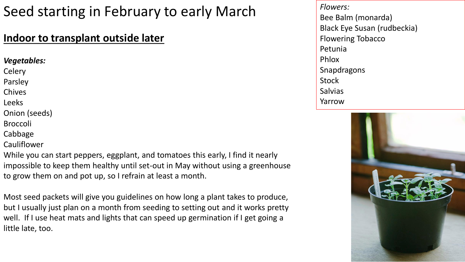# Seed starting in February to early March

## **Indoor to transplant outside later**

#### *Vegetables:*

- **Celery**
- Parsley
- Chives
- Leeks
- Onion (seeds)
- Broccoli
- Cabbage
- Cauliflower

While you can start peppers, eggplant, and tomatoes this early, I find it nearly impossible to keep them healthy until set-out in May without using a greenhouse to grow them on and pot up, so I refrain at least a month.

Most seed packets will give you guidelines on how long a plant takes to produce, but I usually just plan on a month from seeding to setting out and it works pretty well. If I use heat mats and lights that can speed up germination if I get going a little late, too.

*Flowers:* Bee Balm (monarda) Black Eye Susan (rudbeckia) Flowering Tobacco Petunia Phlox Snapdragons **Stock** Salvias Yarrow

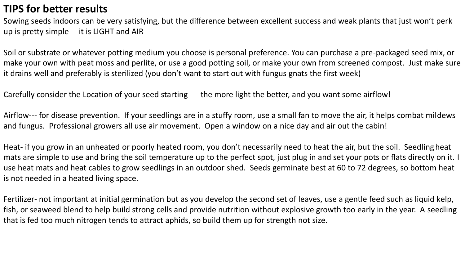### **TIPS for better results**

Sowing seeds indoors can be very satisfying, but the difference between excellent success and weak plants that just won't perk up is pretty simple--- it is LIGHT and AIR

Soil or substrate or whatever potting medium you choose is personal preference. You can purchase a pre-packaged seed mix, or make your own with peat moss and perlite, or use a good potting soil, or make your own from screened compost. Just make sure it drains well and preferably is sterilized (you don't want to start out with fungus gnats the first week)

Carefully consider the Location of your seed starting---- the more light the better, and you want some airflow!

Airflow--- for disease prevention. If your seedlings are in a stuffy room, use a small fan to move the air, it helps combat mildews and fungus. Professional growers all use air movement. Open a window on a nice day and air out the cabin!

Heat- if you grow in an unheated or poorly heated room, you don't necessarily need to heat the air, but the soil. Seedlingheat mats are simple to use and bring the soil temperature up to the perfect spot, just plug in and set your pots or flats directly on it. I use heat mats and heat cables to grow seedlings in an outdoor shed. Seeds germinate best at 60 to 72 degrees, so bottom heat is not needed in a heated living space.

Fertilizer- not important at initial germination but as you develop the second set of leaves, use a gentle feed such as liquid kelp, fish, or seaweed blend to help build strong cells and provide nutrition without explosive growth too early in the year. A seedling that is fed too much nitrogen tends to attract aphids, so build them up for strength not size.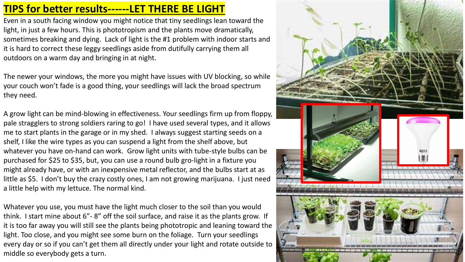## **TIPS for better results------LET THERE BE LIGHT**

Even in a south facing window you might notice that tiny seedlings lean toward the light, in just a few hours. This is phototropism and the plants move dramatically, sometimes breaking and dying. Lack of light is the #1 problem with indoor starts and it is hard to correct these leggy seedlings aside from dutifully carrying them all outdoors on a warm day and bringing in at night.

The newer your windows, the more you might have issues with UV blocking, so while your couch won't fade is a good thing, your seedlings will lack the broad spectrum they need.

A grow light can be mind-blowing in effectiveness. Your seedlings firm up from floppy, pale stragglers to strong soldiers raring to go! I have used several types, and it allows me to start plants in the garage or in my shed. I always suggest starting seeds on a shelf, I like the wire types as you can suspend a light from the shelf above, but whatever you have on-hand can work. Grow light units with tube-style bulbs can be purchased for \$25 to \$35, but, you can use a round bulb gro-light in a fixture you might already have, or with an inexpensive metal reflector, and the bulbs start at as little as \$5. I don't buy the crazy costly ones, I am not growing marijuana. I just need a little help with my lettuce. The normal kind.

Whatever you use, you must have the light much closer to the soil than you would think. I start mine about 6"- 8" off the soil surface, and raise it as the plants grow. If it is too far away you will still see the plants being phototropic and leaning toward the light. Too close, and you might see some burn on the foliage. Turn your seedlings every day or so if you can't get them all directly under your light and rotate outside to middle so everybody gets a turn.